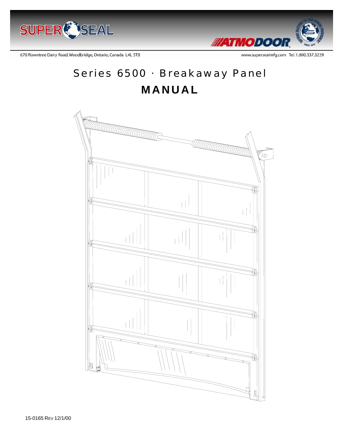



670 Rowntree Dairy Road, Woodbridge, Ontario, Canada L4L 5TB

www.supersealmfg.com Tel: 1.800.337.3239

# Series 6500 · Breakaway Panel **MANUAL**

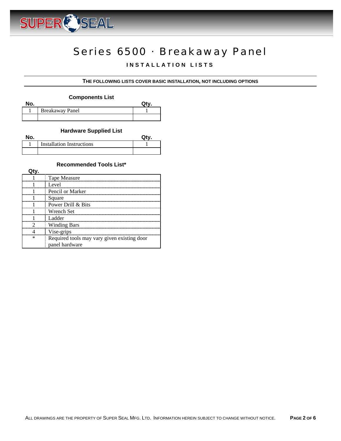

## Series 6500 · Breakaway Panel

### **INSTALLATION LISTS**

#### **THE FOLLOWING LISTS COVER BASIC INSTALLATION, NOT INCLUDING OPTIONS**

#### **Components List**

| No. |                        |  |
|-----|------------------------|--|
|     | <b>Breakaway Panel</b> |  |
|     |                        |  |

#### **Hardware Supplied List**

| No. |                                  |  |
|-----|----------------------------------|--|
|     | <b>Installation Instructions</b> |  |
|     |                                  |  |

#### **Recommended Tools List\***

| Tape Measure                                |
|---------------------------------------------|
| Level                                       |
| Pencil or Marker                            |
| Square                                      |
| Power Drill & Bits                          |
| Wrench Set                                  |
| Ladder                                      |
| <b>Winding Bars</b>                         |
| Vise-grips                                  |
| Required tools may vary given existing door |
| panel hardware                              |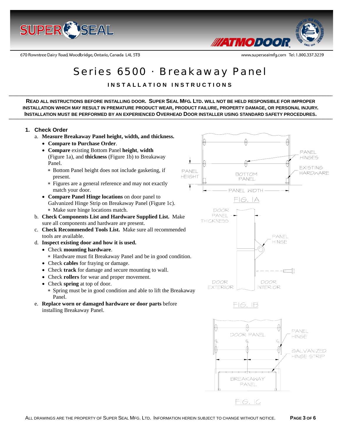

670 Rowntree Dairy Road, Woodbridge, Ontario, Canada L4L 5TB



www.supersealmfg.com Tel: 1.800.337.3239

### Series 6500 · Breakaway Panel

**INSTALLATION INSTRUCTIONS** 

**READ ALL INSTRUCTIONS BEFORE INSTALLING DOOR. SUPER SEAL MFG. LTD. WILL NOT BE HELD RESPONSIBLE FOR IMPROPER INSTALLATION WHICH MAY RESULT IN PREMATURE PRODUCT WEAR, PRODUCT FAILURE, PROPERTY DAMAGE, OR PERSONAL INJURY. INSTALLATION MUST BE PERFORMED BY AN EXPERIENCED OVERHEAD DOOR INSTALLER USING STANDARD SAFETY PROCEDURES.** 

#### **1. Check Order**

- a. **Measure Breakaway Panel height, width, and thickness.**
	- **Compare to Purchase Order**.
	- **Compare** existing Bottom Panel **height**, **width** (Figure 1a), and **thickness** (Figure 1b) to Breakaway Panel.
		- ∗ Bottom Panel height does not include gasketing, if present.
		- ∗ Figures are a general reference and may not exactly match your door.
	- **Compare Panel Hinge locations** on door panel to Galvanized Hinge Strip on Breakaway Panel (Figure 1c). ∗ Make sure hinge locations match.
- b. **Check Components List and Hardware Supplied List.** Make sure all components and hardware are present.
- c. **Check Recommended Tools List.** Make sure all recommended tools are available.
- d. **Inspect existing door and how it is used.** 
	- Check **mounting hardware**.
		- ∗ Hardware must fit Breakaway Panel and be in good condition.
	- Check **cables** for fraying or damage.
	- Check **track** for damage and secure mounting to wall.
	- Check **rollers** for wear and proper movement.
	- Check **spring** at top of door. ∗ Spring must be in good condition and able to lift the Breakaway Panel.
- e. **Replace worn or damaged hardware or door parts** before installing Breakaway Panel.

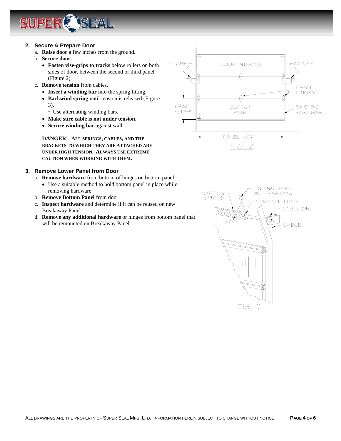

#### **2. Secure & Prepare Door**

- a. **Raise door** a few inches from the ground.
- b. **Secure door.**
	- **Fasten vise-grips to tracks** below rollers on both sides of door, between the second or third panel (Figure 2).
- c. **Remove tension** from cables.
	- **Insert a winding bar** into the spring fitting.
	- **Backwind spring** until tension is released (Figure 3).
		- ∗ Use alternating winding bars.
	- **Make sure cable is not under tension.**
	- **Secure winding bar** against wall.

**DANGER! ALL SPRINGS, CABLES, AND THE BRACKETS TO WHICH THEY ARE ATTACHED ARE UNDER HIGH TENSION. ALWAYS USE EXTREME CAUTION WHEN WORKING WITH THEM.** 

#### **3. Remove Lower Panel from Door**

- a. **Remove hardware** from bottom of hinges on bottom panel.
	- Use a suitable method to hold bottom panel in place while removing hardware.
- b. **Remove Bottom Panel** from door.
- c. **Inspect hardware** and determine if it can be reused on new Breakaway Panel.
- d. **Remove any additional hardware** or hinges from bottom panel that will be remounted on Breakaway Panel.



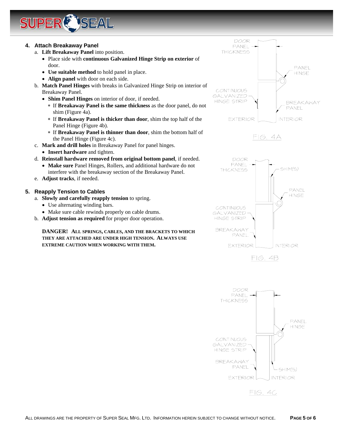

#### **4. Attach Breakaway Panel**

- a. **Lift Breakaway Panel** into position.
	- Place side with **continuous Galvanized Hinge Strip on exterior** of door.
	- **Use suitable method** to hold panel in place.
	- **Align panel** with door on each side.
- b. **Match Panel Hinges** with breaks in Galvanized Hinge Strip on interior of Breakaway Panel.
	- **Shim Panel Hinges** on interior of door, if needed.
		- ∗ If **Breakaway Panel is the same thickness** as the door panel, do not shim (Figure 4a).
		- ∗ If **Breakaway Panel is thicker than door**, shim the top half of the Panel Hinge (Figure 4b).
		- ∗ If **Breakaway Panel is thinner than door**, shim the bottom half of the Panel Hinge (Figure 4c).
- c. **Mark and drill holes** in Breakaway Panel for panel hinges.
	- **Insert hardware** and tighten.
- d. **Reinstall hardware removed from original bottom panel**, if needed.
	- **Make sure** Panel Hinges, Rollers, and additional hardware do not interfere with the breakaway section of the Breakaway Panel.
- e. **Adjust tracks**, if needed.

#### **5. Reapply Tension to Cables**

- a. **Slowly and carefully reapply tension** to spring.
	- Use alternating winding bars.
	- Make sure cable rewinds properly on cable drums.
- b. **Adjust tension as required** for proper door operation.

**DANGER! ALL SPRINGS, CABLES, AND THE BRACKETS TO WHICH THEY ARE ATTACHED ARE UNDER HIGH TENSION. ALWAYS USE EXTREME CAUTION WHEN WORKING WITH THEM.**